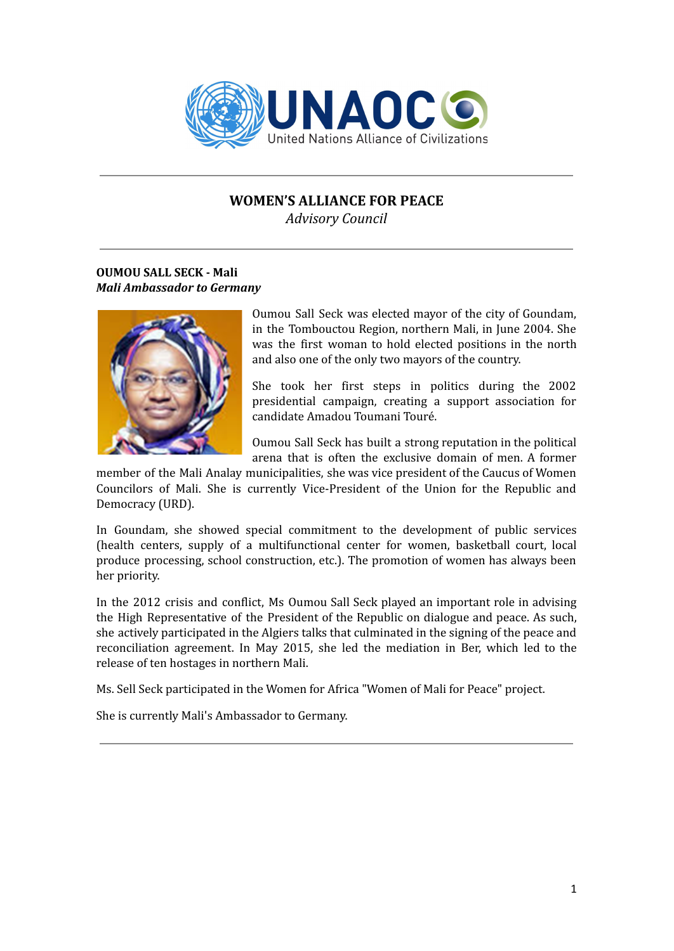

# **WOMEN'S ALLIANCE FOR PEACE**

*Advisory Council*

## **OUMOU SALL SECK - Mali** *Mali Ambassador to Germany*



Oumou Sall Seck was elected mayor of the city of Goundam, in the Tombouctou Region, northern Mali, in June 2004. She was the first woman to hold elected positions in the north and also one of the only two mayors of the country.

She took her first steps in politics during the 2002 presidential campaign, creating a support association for candidate Amadou Toumani Touré.

Oumou Sall Seck has built a strong reputation in the political arena that is often the exclusive domain of men. A former

member of the Mali Analay municipalities, she was vice president of the Caucus of Women Councilors of Mali. She is currently Vice-President of the Union for the Republic and Democracy (URD).

In Goundam, she showed special commitment to the development of public services (health centers, supply of a multifunctional center for women, basketball court, local produce processing, school construction, etc.). The promotion of women has always been her priority.

In the 2012 crisis and conflict, Ms Oumou Sall Seck played an important role in advising the High Representative of the President of the Republic on dialogue and peace. As such, she actively participated in the Algiers talks that culminated in the signing of the peace and reconciliation agreement. In May 2015, she led the mediation in Ber, which led to the release of ten hostages in northern Mali.

Ms. Sell Seck participated in the Women for Africa "Women of Mali for Peace" project.

She is currently Mali's Ambassador to Germany.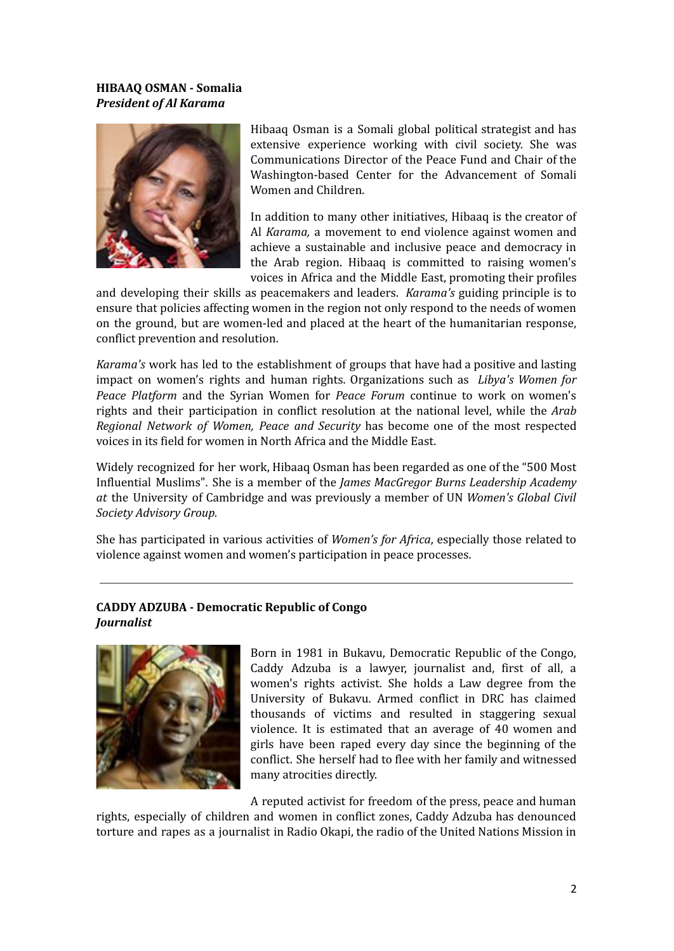## **HIBAAQ OSMAN - Somalia** *President of Al Karama*



Hibaaq Osman is a Somali global political strategist and has extensive experience working with civil society. She was Communications Director of the Peace Fund and Chair of the Washington-based Center for the Advancement of Somali Women and Children.

In addition to many other initiatives, Hibaaq is the creator of Al *Karama,* a movement to end violence against women and achieve a sustainable and inclusive peace and democracy in the Arab region. Hibaaq is committed to raising women's voices in Africa and the Middle East, promoting their profiles

and developing their skills as peacemakers and leaders. *Karama's* guiding principle is to ensure that policies affecting women in the region not only respond to the needs of women on the ground, but are women-led and placed at the heart of the humanitarian response, conflict prevention and resolution.

*Karama's* work has led to the establishment of groups that have had a positive and lasting impact on women's rights and human rights. Organizations such as *Libya's Women for Peace Platform* and the Syrian Women for *Peace Forum* continue to work on women's rights and their participation in conflict resolution at the national level, while the *Arab Regional Network of Women, Peace and Security* has become one of the most respected voices in its field for women in North Africa and the Middle East.

Widely recognized for her work, Hibaaq Osman has been regarded as one of the "500 Most Influential Muslims". She is a member of the *James MacGregor Burns Leadership Academy at* the University of Cambridge and was previously a member of UN *Women's Global Civil Society Advisory Group.*

She has participated in various activities of *Women's for Africa*, especially those related to violence against women and women's participation in peace processes.

## **CADDY ADZUBA - Democratic Republic of Congo** *Journalist*



Born in 1981 in Bukavu, Democratic Republic of the Congo, Caddy Adzuba is a lawyer, journalist and, first of all, a women's rights activist. She holds a Law degree from the University of Bukavu. Armed conflict in DRC has claimed thousands of victims and resulted in staggering sexual violence. It is estimated that an average of 40 women and girls have been raped every day since the beginning of the conflict. She herself had to flee with her family and witnessed many atrocities directly.

A reputed activist for freedom of the press, peace and human

rights, especially of children and women in conflict zones, Caddy Adzuba has denounced torture and rapes as a journalist in Radio Okapi, the radio of the United Nations Mission in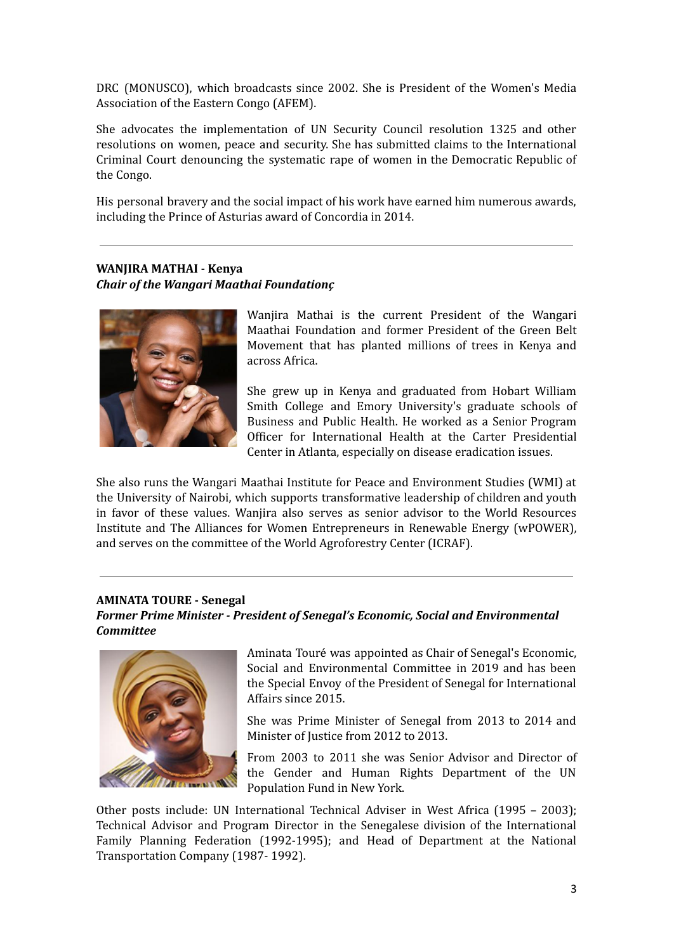DRC (MONUSCO), which broadcasts since 2002. She is President of the Women's Media Association of the Eastern Congo (AFEM).

She advocates the implementation of UN Security Council resolution 1325 and other resolutions on women, peace and security. She has submitted claims to the International Criminal Court denouncing the systematic rape of women in the Democratic Republic of the Congo.

His personal bravery and the social impact of his work have earned him numerous awards, including the Prince of Asturias award of Concordia in 2014.

#### **WANJIRA MATHAI - Kenya** *Chair of the Wangari Maathai Foundationç*



Wanjira Mathai is the current President of the Wangari Maathai Foundation and former President of the Green Belt Movement that has planted millions of trees in Kenya and across Africa.

She grew up in Kenya and graduated from Hobart William Smith College and Emory University's graduate schools of Business and Public Health. He worked as a Senior Program Officer for International Health at the Carter Presidential Center in Atlanta, especially on disease eradication issues.

She also runs the Wangari Maathai Institute for Peace and Environment Studies (WMI) at the University of Nairobi, which supports transformative leadership of children and youth in favor of these values. Wanjira also serves as senior advisor to the World Resources Institute and The Alliances for Women Entrepreneurs in Renewable Energy (wPOWER), and serves on the committee of the World Agroforestry Center (ICRAF).

# **AMINATA TOURE - Senegal**

*Former Prime Minister - President of Senegal's Economic, Social and Environmental Committee*



Aminata Touré was appointed as Chair of Senegal's Economic, Social and Environmental Committee in 2019 and has been the Special Envoy of the President of Senegal for International Affairs since 2015.

She was Prime Minister of Senegal from 2013 to 2014 and Minister of Justice from 2012 to 2013.

From 2003 to 2011 she was Senior Advisor and Director of the Gender and Human Rights Department of the UN Population Fund in New York.

Other posts include: UN International Technical Adviser in West Africa (1995 – 2003); Technical Advisor and Program Director in the Senegalese division of the International Family Planning Federation (1992-1995); and Head of Department at the National Transportation Company (1987- 1992).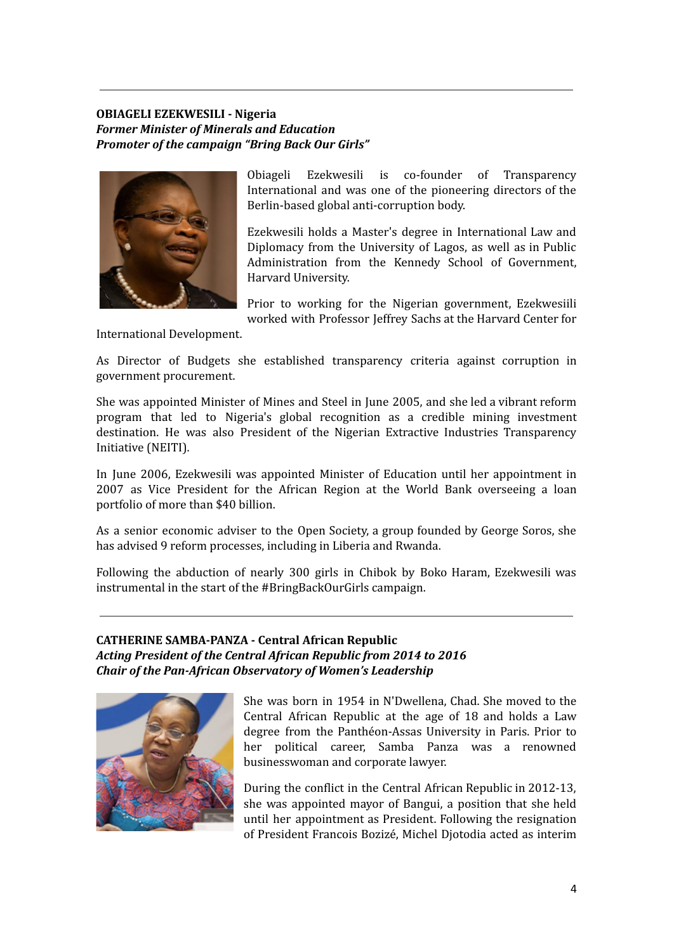## **OBIAGELI EZEKWESILI - Nigeria** *Former Minister of Minerals and Education Promoter of the campaign "Bring Back Our Girls"*



Obiageli Ezekwesili is co-founder of Transparency International and was one of the pioneering directors of the Berlin-based global anti-corruption body.

Ezekwesili holds a Master's degree in International Law and Diplomacy from the University of Lagos, as well as in Public Administration from the Kennedy School of Government, Harvard University.

Prior to working for the Nigerian government, Ezekwesiili worked with Professor Jeffrey Sachs at the Harvard Center for

International Development.

As Director of Budgets she established transparency criteria against corruption in government procurement.

She was appointed Minister of Mines and Steel in June 2005, and she led a vibrant reform program that led to Nigeria's global recognition as a credible mining investment destination. He was also President of the Nigerian Extractive Industries Transparency Initiative (NEITI).

In June 2006, Ezekwesili was appointed Minister of Education until her appointment in 2007 as Vice President for the African Region at the World Bank overseeing a loan portfolio of more than \$40 billion.

As a senior economic adviser to the Open Society, a group founded by George Soros, she has advised 9 reform processes, including in Liberia and Rwanda.

Following the abduction of nearly 300 girls in Chibok by Boko Haram, Ezekwesili was instrumental in the start of the #BringBackOurGirls campaign.

## **CATHERINE SAMBA-PANZA - Central African Republic** *Acting President of the Central African Republic from 2014 to 2016 Chair of the Pan-African Observatory of Women's Leadership*



She was born in 1954 in N'Dwellena, Chad. She moved to the Central African Republic at the age of 18 and holds a Law degree from the Panthéon-Assas University in Paris. Prior to her political career, Samba Panza was a renowned businesswoman and corporate lawyer.

During the conflict in the Central African Republic in 2012-13, she was appointed mayor of Bangui, a position that she held until her appointment as President. Following the resignation of President Francois Bozizé, Michel Djotodia acted as interim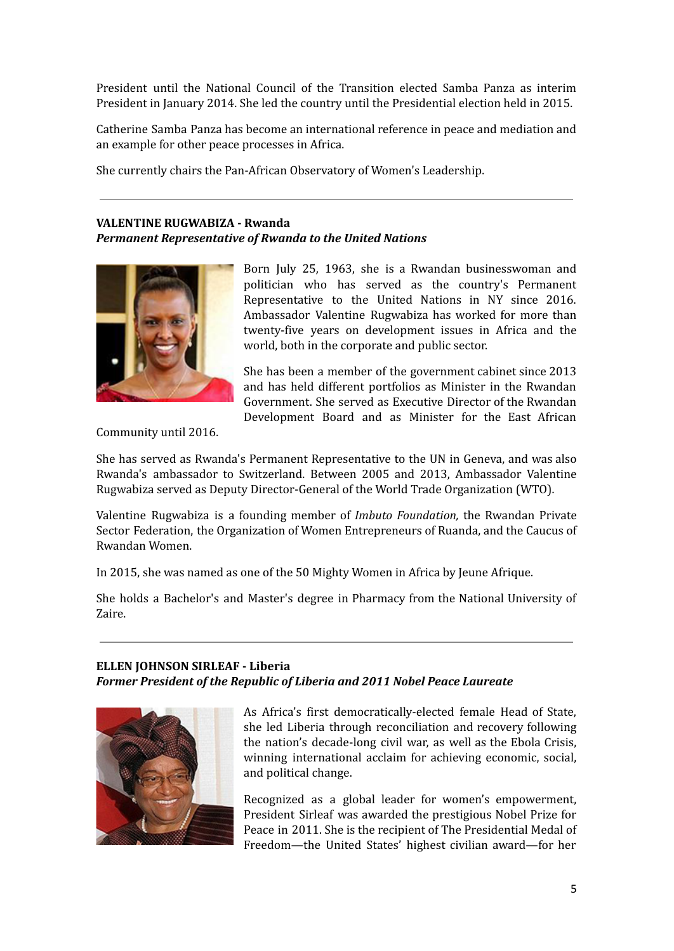President until the National Council of the Transition elected Samba Panza as interim President in January 2014. She led the country until the Presidential election held in 2015.

Catherine Samba Panza has become an international reference in peace and mediation and an example for other peace processes in Africa.

She currently chairs the Pan-African Observatory of Women's Leadership.

## **VALENTINE RUGWABIZA - Rwanda** *Permanent Representative of Rwanda to the United Nations*



Born July 25, 1963, she is a Rwandan businesswoman and politician who has served as the country's Permanent Representative to the United Nations in NY since 2016. Ambassador Valentine Rugwabiza has worked for more than twenty-five years on development issues in Africa and the world, both in the corporate and public sector.

She has been a member of the government cabinet since 2013 and has held different portfolios as Minister in the Rwandan Government. She served as Executive Director of the Rwandan Development Board and as Minister for the East African

Community until 2016.

She has served as Rwanda's Permanent Representative to the UN in Geneva, and was also Rwanda's ambassador to Switzerland. Between 2005 and 2013, Ambassador Valentine Rugwabiza served as Deputy Director-General of the World Trade Organization (WTO).

Valentine Rugwabiza is a founding member of *Imbuto Foundation,* the Rwandan Private Sector Federation, the Organization of Women Entrepreneurs of Ruanda, and the Caucus of Rwandan Women.

In 2015, she was named as one of the 50 Mighty Women in Africa by Jeune Afrique.

She holds a Bachelor's and Master's degree in Pharmacy from the National University of Zaire.

## **ELLEN JOHNSON SIRLEAF - Liberia** *Former President of the Republic of Liberia and 2011 Nobel Peace Laureate*



As Africa's first democratically-elected female Head of State, she led Liberia through reconciliation and recovery following the nation's decade-long civil war, as well as the Ebola Crisis, winning international acclaim for achieving economic, social, and political change.

Recognized as a global leader for women's empowerment, President Sirleaf was awarded the prestigious Nobel Prize for Peace in 2011. She is the recipient of The Presidential Medal of Freedom—the United States' highest civilian award—for her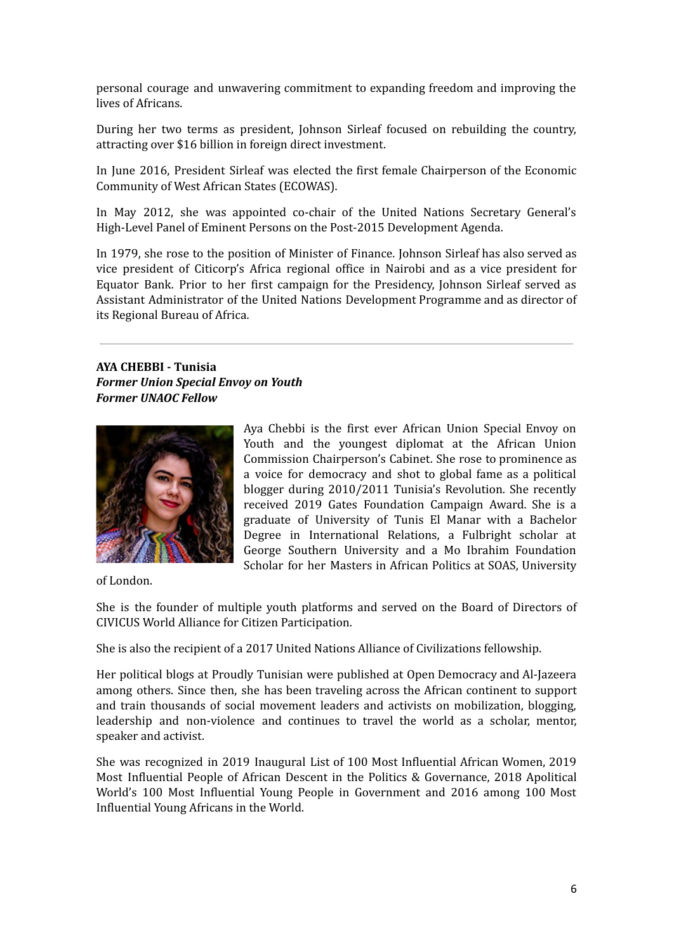personal courage and unwavering commitment to expanding freedom and improving the lives of Africans.

During her two terms as president, Johnson Sirleaf focused on rebuilding the country, attracting over \$16 billion in foreign direct investment.

In June 2016, President Sirleaf was elected the first female Chairperson of the Economic Community of West African States (ECOWAS).

In May 2012, she was appointed co-chair of the United Nations Secretary General's High-Level Panel of Eminent Persons on the Post-2015 Development Agenda.

In 1979, she rose to the position of Minister of Finance. Johnson Sirleaf has also served as vice president of Citicorp's Africa regional office in Nairobi and as a vice president for Equator Bank. Prior to her first campaign for the Presidency, Johnson Sirleaf served as Assistant Administrator of the United Nations Development Programme and as director of its Regional Bureau of Africa.

**AYA CHEBBI - Tunisia** *Former Union Special Envoy on Youth Former UNAOC Fellow*



Aya Chebbi is the first ever African Union Special Envoy on Youth and the youngest diplomat at the African Union Commission Chairperson's Cabinet. She rose to prominence as a voice for democracy and shot to global fame as a political blogger during 2010/2011 Tunisia's Revolution. She recently received 2019 Gates Foundation Campaign Award. She is a graduate of University of Tunis El Manar with a Bachelor Degree in International Relations, a Fulbright scholar at George Southern University and a Mo Ibrahim Foundation Scholar for her Masters in African Politics at SOAS, University

of London.

She is the founder of multiple youth platforms and served on the Board of Directors of CIVICUS World Alliance for Citizen Participation.

She is also the recipient of a 2017 United Nations Alliance of Civilizations fellowship.

Her political blogs at Proudly Tunisian were published at Open Democracy and Al-Jazeera among others. Since then, she has been traveling across the African continent to support and train thousands of social movement leaders and activists on mobilization, blogging, leadership and non-violence and continues to travel the world as a scholar, mentor, speaker and activist.

She was recognized in 2019 Inaugural List of 100 Most Influential African Women, 2019 Most Influential People of African Descent in the Politics & Governance, 2018 Apolitical World's 100 Most Influential Young People in Government and 2016 among 100 Most Influential Young Africans in the World.